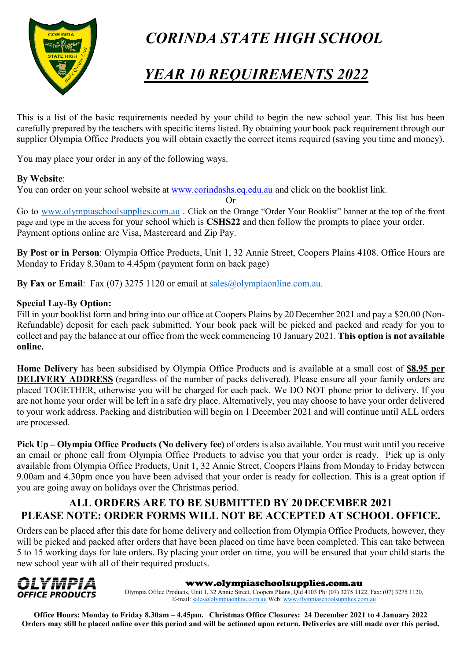

# *CORINDA STATE HIGH SCHOOL*

# *YEAR 10 REQUIREMENTS 2022*

This is a list of the basic requirements needed by your child to begin the new school year. This list has been carefully prepared by the teachers with specific items listed. By obtaining your book pack requirement through our supplier Olympia Office Products you will obtain exactly the correct items required (saving you time and money).

You may place your order in any of the following ways.

#### **By Website**:

You can order on your school website at [www.corindashs.eq.edu.au](http://www.corindashs.eq.edu.au/) and click on the booklist link.

Or

Go to [www.olympiaschoolsupplies.com.au](http://www.olympiaschoolsupplies.com.au/) . Click on the Orange "Order Your Booklist" banner at the top of the front page and type in the access for your school which is **CSHS22** and then follow the prompts to place your order. Payment options online are Visa, Mastercard and Zip Pay.

**By Post or in Person**: Olympia Office Products, Unit 1, 32 Annie Street, Coopers Plains 4108. Office Hours are Monday to Friday 8.30am to 4.45pm (payment form on back page)

**By Fax or Email**: Fax (07) 3275 1120 or email at [sales@olympiaonline.com.au.](mailto:sales@olympiaonline.com.au)

#### **Special Lay-By Option:**

Fill in your booklist form and bring into our office at Coopers Plains by 20 December 2021 and pay a \$20.00 (Non-Refundable) deposit for each pack submitted. Your book pack will be picked and packed and ready for you to collect and pay the balance at our office from the week commencing 10 January 2021. **This option is not available online.**

**Home Delivery** has been subsidised by Olympia Office Products and is available at a small cost of **\$8.95 per DELIVERY ADDRESS** (regardless of the number of packs delivered). Please ensure all your family orders are placed TOGETHER, otherwise you will be charged for each pack. We DO NOT phone prior to delivery. If you are not home your order will be left in a safe dry place. Alternatively, you may choose to have your order delivered to your work address. Packing and distribution will begin on 1 December 2021 and will continue until ALL orders are processed.

**Pick Up – Olympia Office Products (No delivery fee)** of orders is also available. You must wait until you receive an email or phone call from Olympia Office Products to advise you that your order is ready. Pick up is only available from Olympia Office Products, Unit 1, 32 Annie Street, Coopers Plains from Monday to Friday between 9.00am and 4.30pm once you have been advised that your order is ready for collection. This is a great option if you are going away on holidays over the Christmas period.

#### **ALL ORDERS ARE TO BE SUBMITTED BY 20 DECEMBER 2021 PLEASE NOTE: ORDER FORMS WILL NOT BE ACCEPTED AT SCHOOL OFFICE.**

Orders can be placed after this date for home delivery and collection from Olympia Office Products, however, they will be picked and packed after orders that have been placed on time have been completed. This can take between 5 to 15 working days for late orders. By placing your order on time, you will be ensured that your child starts the new school year with all of their required products.



#### www.olympiaschoolsupplies.com.au

Olympia Office Products, Unit 1, 32 Annie Street, Coopers Plains, Qld 4103 Ph: (07) 3275 1122, Fax: (07) 3275 1120, E-mail[: sales@olympiaonline.com.au](mailto:sales@olympiaonline.com.au) Web[: www.olympiaschoolsupplies.com.au](http://www.olympiaschoolsupplies.com.au/)

**Office Hours: Monday to Friday 8.30am – 4.45pm. Christmas Office Closures: 24 December 2021 to 4 January 2022 Orders may still be placed online over this period and will be actioned upon return. Deliveries are still made over this period.**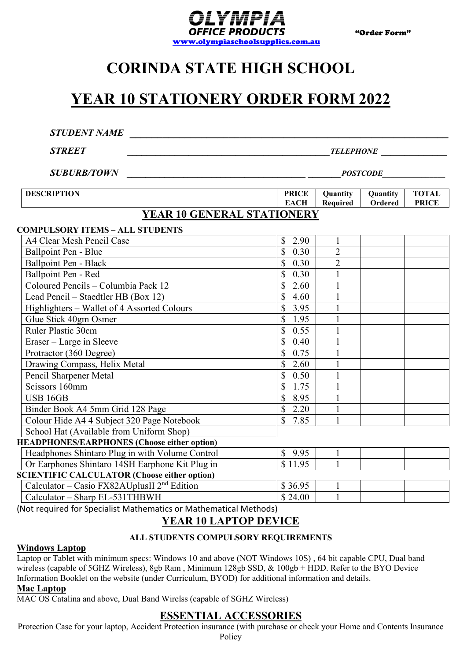

# **CORINDA STATE HIGH SCHOOL**

## **YEAR 10 STATIONERY ORDER FORM 2022**

| <b>STUDENT NAME</b>                                 |                                     |                      |                     |                              |  |  |  |
|-----------------------------------------------------|-------------------------------------|----------------------|---------------------|------------------------------|--|--|--|
| <b>STREET</b>                                       | <b>TELEPHONE</b><br><b>POSTCODE</b> |                      |                     |                              |  |  |  |
| <b>SUBURB/TOWN</b>                                  |                                     |                      |                     |                              |  |  |  |
| <b>DESCRIPTION</b>                                  | <b>PRICE</b><br><b>EACH</b>         | Quantity<br>Required | Quantity<br>Ordered | <b>TOTAL</b><br><b>PRICE</b> |  |  |  |
| YEAR 10 GENERAL STATIONERY                          |                                     |                      |                     |                              |  |  |  |
| <b>COMPULSORY ITEMS - ALL STUDENTS</b>              |                                     |                      |                     |                              |  |  |  |
| A4 Clear Mesh Pencil Case                           | $\mathbb{S}$<br>2.90                | 1                    |                     |                              |  |  |  |
| Ballpoint Pen - Blue                                | $\mathbf S$<br>0.30                 | $\overline{2}$       |                     |                              |  |  |  |
| <b>Ballpoint Pen - Black</b>                        | \$<br>0.30                          | $\overline{2}$       |                     |                              |  |  |  |
| Ballpoint Pen - Red                                 | \$<br>0.30                          |                      |                     |                              |  |  |  |
| Coloured Pencils - Columbia Pack 12                 | \$<br>2.60                          |                      |                     |                              |  |  |  |
| Lead Pencil - Staedtler HB (Box 12)                 | $\overline{\mathbb{S}}$<br>4.60     | $\mathbf{1}$         |                     |                              |  |  |  |
| Highlighters - Wallet of 4 Assorted Colours         | \$<br>3.95                          |                      |                     |                              |  |  |  |
| Glue Stick 40gm Osmer                               | $\mathbb{S}$<br>1.95                |                      |                     |                              |  |  |  |
| Ruler Plastic 30cm                                  | $\mathbb{S}$<br>0.55                |                      |                     |                              |  |  |  |
| Eraser - Large in Sleeve                            | $\mathbb{S}$<br>0.40                | $\mathbf{1}$         |                     |                              |  |  |  |
| Protractor (360 Degree)                             | \$<br>0.75                          |                      |                     |                              |  |  |  |
| Drawing Compass, Helix Metal                        | \$<br>2.60                          |                      |                     |                              |  |  |  |
| Pencil Sharpener Metal                              | $\mathbf S$<br>0.50                 |                      |                     |                              |  |  |  |
| Scissors 160mm                                      | $\mathbb{S}$<br>1.75                | $\mathbf{1}$         |                     |                              |  |  |  |
| <b>USB 16GB</b>                                     | \$<br>8.95                          |                      |                     |                              |  |  |  |
| Binder Book A4 5mm Grid 128 Page                    | $\mathbb{S}$<br>2.20                |                      |                     |                              |  |  |  |
| Colour Hide A4 4 Subject 320 Page Notebook          | $\mathbb{S}$<br>7.85                | 1                    |                     |                              |  |  |  |
| School Hat (Available from Uniform Shop)            |                                     |                      |                     |                              |  |  |  |
| <b>HEADPHONES/EARPHONES (Choose either option)</b>  |                                     |                      |                     |                              |  |  |  |
| Headphones Shintaro Plug in with Volume Control     | \$9.95                              | $\mathbf{1}$         |                     |                              |  |  |  |
| Or Earphones Shintaro 14SH Earphone Kit Plug in     | \$11.95                             |                      |                     |                              |  |  |  |
| <b>SCIENTIFIC CALCULATOR (Choose either option)</b> |                                     |                      |                     |                              |  |  |  |
| Calculator – Casio FX82AUplusII $2nd$ Edition       | \$36.95                             | 1                    |                     |                              |  |  |  |
| Calculator - Sharp EL-531THBWH                      | \$24.00                             | $\mathbf{1}$         |                     |                              |  |  |  |

(Not required for Specialist Mathematics or Mathematical Methods)

#### **YEAR 10 LAPTOP DEVICE**

#### **ALL STUDENTS COMPULSORY REQUIREMENTS**

#### **Windows Laptop**

Laptop or Tablet with minimum specs: Windows 10 and above (NOT Windows 10S) , 64 bit capable CPU, Dual band wireless (capable of 5GHZ Wireless), 8gb Ram , Minimum 128gb SSD, & 100gb + HDD. Refer to the BYO Device Information Booklet on the website (under Curriculum, BYOD) for additional information and details.

#### **Mac Laptop**

MAC OS Catalina and above, Dual Band Wirelss (capable of SGHZ Wireless)

#### **ESSENTIAL ACCESSORIES**

Protection Case for your laptop, Accident Protection insurance (with purchase or check your Home and Contents Insurance Policy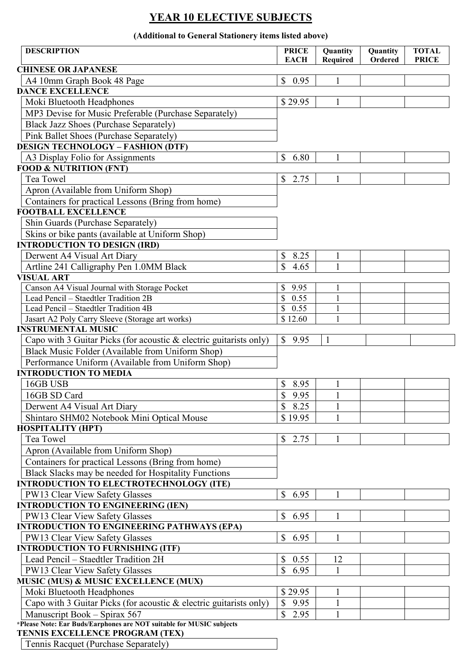### **YEAR 10 ELECTIVE SUBJECTS**

#### **(Additional to General Stationery items listed above)**

| <b>DESCRIPTION</b>                                                                                             | <b>PRICE</b><br><b>EACH</b> | Quantity<br><b>Required</b> | Quantity<br>Ordered | <b>TOTAL</b><br><b>PRICE</b> |
|----------------------------------------------------------------------------------------------------------------|-----------------------------|-----------------------------|---------------------|------------------------------|
| <b>CHINESE OR JAPANESE</b>                                                                                     |                             |                             |                     |                              |
| A4 10mm Graph Book 48 Page                                                                                     | \$0.95                      |                             |                     |                              |
| <b>DANCE EXCELLENCE</b>                                                                                        |                             |                             |                     |                              |
| Moki Bluetooth Headphones                                                                                      | \$29.95                     | 1                           |                     |                              |
| MP3 Devise for Music Preferable (Purchase Separately)                                                          |                             |                             |                     |                              |
| <b>Black Jazz Shoes (Purchase Separately)</b>                                                                  |                             |                             |                     |                              |
| Pink Ballet Shoes (Purchase Separately)                                                                        |                             |                             |                     |                              |
| <b>DESIGN TECHNOLOGY - FASHION (DTF)</b>                                                                       |                             |                             |                     |                              |
| A3 Display Folio for Assignments                                                                               | \$<br>6.80                  | 1                           |                     |                              |
| <b>FOOD &amp; NUTRITION (FNT)</b>                                                                              |                             |                             |                     |                              |
| Tea Towel                                                                                                      | \$<br>2.75                  | 1                           |                     |                              |
| Apron (Available from Uniform Shop)                                                                            |                             |                             |                     |                              |
| Containers for practical Lessons (Bring from home)                                                             |                             |                             |                     |                              |
| <b>FOOTBALL EXCELLENCE</b>                                                                                     |                             |                             |                     |                              |
| Shin Guards (Purchase Separately)                                                                              |                             |                             |                     |                              |
| Skins or bike pants (available at Uniform Shop)                                                                |                             |                             |                     |                              |
| <b>INTRODUCTION TO DESIGN (IRD)</b>                                                                            |                             |                             |                     |                              |
| Derwent A4 Visual Art Diary                                                                                    | \$<br>8.25                  | 1                           |                     |                              |
| Artline 241 Calligraphy Pen 1.0MM Black                                                                        | \$<br>4.65                  | 1                           |                     |                              |
| <b>VISUAL ART</b>                                                                                              |                             |                             |                     |                              |
| Canson A4 Visual Journal with Storage Pocket                                                                   | \$<br>9.95                  | 1                           |                     |                              |
| Lead Pencil - Staedtler Tradition 2B                                                                           | \$<br>0.55                  | 1                           |                     |                              |
| Lead Pencil - Staedtler Tradition 4B                                                                           | \$<br>0.55                  | $\mathbf{1}$                |                     |                              |
| Jasart A2 Poly Carry Sleeve (Storage art works)                                                                | \$12.60                     |                             |                     |                              |
| <b>INSTRUMENTAL MUSIC</b>                                                                                      |                             |                             |                     |                              |
| Capo with 3 Guitar Picks (for acoustic & electric guitarists only)                                             | \$9.95                      | 1                           |                     |                              |
| Black Music Folder (Available from Uniform Shop)                                                               |                             |                             |                     |                              |
| Performance Uniform (Available from Uniform Shop)                                                              |                             |                             |                     |                              |
| <b>INTRODUCTION TO MEDIA</b>                                                                                   |                             |                             |                     |                              |
| 16GB USB                                                                                                       | \$8.95                      | $\mathbf{1}$                |                     |                              |
| 16GB SD Card                                                                                                   | $\sqrt{9.95}$               | $\overline{1}$              |                     |                              |
| Derwent A4 Visual Art Diary                                                                                    | \$<br>8.25                  |                             |                     |                              |
| Shintaro SHM02 Notebook Mini Optical Mouse                                                                     | \$19.95                     | 1                           |                     |                              |
| <b>HOSPITALITY (HPT)</b>                                                                                       |                             |                             |                     |                              |
| Tea Towel                                                                                                      | \$2.75                      |                             |                     |                              |
| Apron (Available from Uniform Shop)                                                                            |                             |                             |                     |                              |
| Containers for practical Lessons (Bring from home)                                                             |                             |                             |                     |                              |
|                                                                                                                |                             |                             |                     |                              |
| Black Slacks may be needed for Hospitality Functions                                                           |                             |                             |                     |                              |
| <b>INTRODUCTION TO ELECTROTECHNOLOGY (ITE)</b>                                                                 |                             |                             |                     |                              |
| PW13 Clear View Safety Glasses                                                                                 | \$<br>6.95                  | 1                           |                     |                              |
| <b>INTRODUCTION TO ENGINEERING (IEN)</b>                                                                       |                             |                             |                     |                              |
| PW13 Clear View Safety Glasses                                                                                 | \$<br>6.95                  | 1                           |                     |                              |
| <b>INTRODUCTION TO ENGINEERING PATHWAYS (EPA)</b>                                                              |                             |                             |                     |                              |
| PW13 Clear View Safety Glasses                                                                                 | $\mathbb{S}$<br>6.95        | 1                           |                     |                              |
| <b>INTRODUCTION TO FURNISHING (ITF)</b>                                                                        |                             |                             |                     |                              |
| Lead Pencil - Staedtler Tradition 2H                                                                           | \$<br>0.55                  | 12                          |                     |                              |
| PW13 Clear View Safety Glasses                                                                                 | \$<br>6.95                  |                             |                     |                              |
| MUSIC (MUS) & MUSIC EXCELLENCE (MUX)                                                                           |                             |                             |                     |                              |
| Moki Bluetooth Headphones                                                                                      | \$29.95                     | $\mathbf{1}$                |                     |                              |
| Capo with 3 Guitar Picks (for acoustic & electric guitarists only)                                             | \$<br>9.95                  | $\mathbf{1}$                |                     |                              |
| Manuscript Book - Spirax 567                                                                                   | \$<br>2.95                  | 1                           |                     |                              |
| *Please Note: Ear Buds/Earphones are NOT suitable for MUSIC subjects<br><b>TENNIS EXCELLENCE PROGRAM (TEX)</b> |                             |                             |                     |                              |
| Tennis Racquet (Purchase Separately)                                                                           |                             |                             |                     |                              |

Tennis Racquet (Purchase Separately)